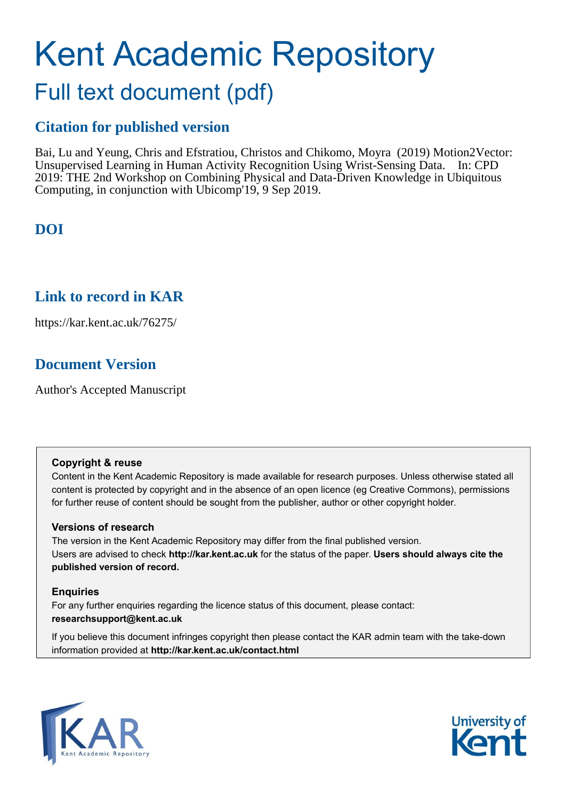# Kent Academic Repository

## Full text document (pdf)

## **Citation for published version**

Bai, Lu and Yeung, Chris and Efstratiou, Christos and Chikomo, Moyra (2019) Motion2Vector: Unsupervised Learning in Human Activity Recognition Using Wrist-Sensing Data. In: CPD 2019: THE 2nd Workshop on Combining Physical and Data-Driven Knowledge in Ubiquitous Computing, in conjunction with Ubicomp'19, 9 Sep 2019.

## **DOI**

## **Link to record in KAR**

https://kar.kent.ac.uk/76275/

## **Document Version**

Author's Accepted Manuscript

#### **Copyright & reuse**

Content in the Kent Academic Repository is made available for research purposes. Unless otherwise stated all content is protected by copyright and in the absence of an open licence (eg Creative Commons), permissions for further reuse of content should be sought from the publisher, author or other copyright holder.

#### **Versions of research**

The version in the Kent Academic Repository may differ from the final published version. Users are advised to check **http://kar.kent.ac.uk** for the status of the paper. **Users should always cite the published version of record.**

#### **Enquiries**

For any further enquiries regarding the licence status of this document, please contact: **researchsupport@kent.ac.uk**

If you believe this document infringes copyright then please contact the KAR admin team with the take-down information provided at **http://kar.kent.ac.uk/contact.html**



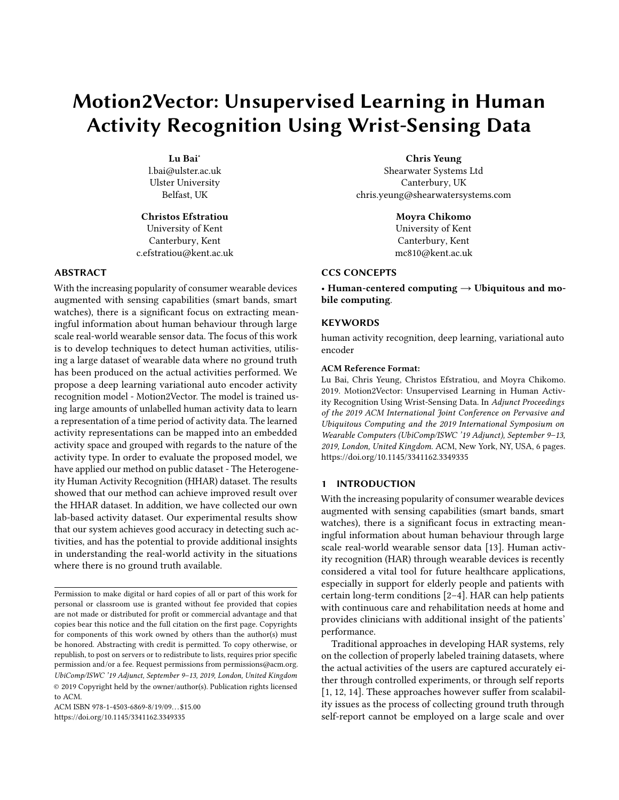## Motion2Vector: Unsupervised Learning in Human Activity Recognition Using Wrist-Sensing Data

Lu Bai<sup>∗</sup> l.bai@ulster.ac.uk Ulster University Belfast, UK

Christos Efstratiou University of Kent Canterbury, Kent c.efstratiou@kent.ac.uk

#### ABSTRACT

With the increasing popularity of consumer wearable devices augmented with sensing capabilities (smart bands, smart watches), there is a significant focus on extracting meaningful information about human behaviour through large scale real-world wearable sensor data. The focus of this work is to develop techniques to detect human activities, utilising a large dataset of wearable data where no ground truth has been produced on the actual activities performed. We propose a deep learning variational auto encoder activity recognition model - Motion2Vector. The model is trained using large amounts of unlabelled human activity data to learn a representation of a time period of activity data. The learned activity representations can be mapped into an embedded activity space and grouped with regards to the nature of the activity type. In order to evaluate the proposed model, we have applied our method on public dataset - The Heterogeneity Human Activity Recognition (HHAR) dataset. The results showed that our method can achieve improved result over the HHAR dataset. In addition, we have collected our own lab-based activity dataset. Our experimental results show that our system achieves good accuracy in detecting such activities, and has the potential to provide additional insights in understanding the real-world activity in the situations where there is no ground truth available.

ACM ISBN 978-1-4503-6869-8/19/09...\$15.00 <https://doi.org/10.1145/3341162.3349335>

Chris Yeung Shearwater Systems Ltd Canterbury, UK chris.yeung@shearwatersystems.com

Moyra Chikomo

University of Kent Canterbury, Kent mc810@kent.ac.uk

#### CCS CONCEPTS

• Human-centered computing  $\rightarrow$  Ubiquitous and mobile computing.

#### **KEYWORDS**

human activity recognition, deep learning, variational auto encoder

#### ACM Reference Format:

Lu Bai, Chris Yeung, Christos Efstratiou, and Moyra Chikomo. 2019. Motion2Vector: Unsupervised Learning in Human Activity Recognition Using Wrist-Sensing Data. In Adjunct Proceedings of the 2019 ACM International Joint Conference on Pervasive and Ubiquitous Computing and the 2019 International Symposium on Wearable Computers (UbiComp/ISWC '19 Adjunct), September 9–13, 2019, London, United Kingdom. ACM, New York, NY, USA, 6 pages. <https://doi.org/10.1145/3341162.3349335>

#### 1 INTRODUCTION

With the increasing popularity of consumer wearable devices augmented with sensing capabilities (smart bands, smart watches), there is a significant focus in extracting meaningful information about human behaviour through large scale real-world wearable sensor data [13]. Human activity recognition (HAR) through wearable devices is recently considered a vital tool for future healthcare applications, especially in support for elderly people and patients with certain long-term conditions [2–4]. HAR can help patients with continuous care and rehabilitation needs at home and provides clinicians with additional insight of the patients' performance.

Traditional approaches in developing HAR systems, rely on the collection of properly labeled training datasets, where the actual activities of the users are captured accurately either through controlled experiments, or through self reports [1, 12, 14]. These approaches however suffer from scalability issues as the process of collecting ground truth through self-report cannot be employed on a large scale and over

Permission to make digital or hard copies of all or part of this work for personal or classroom use is granted without fee provided that copies are not made or distributed for profit or commercial advantage and that copies bear this notice and the full citation on the first page. Copyrights for components of this work owned by others than the author(s) must be honored. Abstracting with credit is permitted. To copy otherwise, or republish, to post on servers or to redistribute to lists, requires prior specific permission and/or a fee. Request permissions from permissions@acm.org. UbiComp/ISWC '19 Adjunct, September 9–13, 2019, London, United Kingdom © 2019 Copyright held by the owner/author(s). Publication rights licensed to ACM.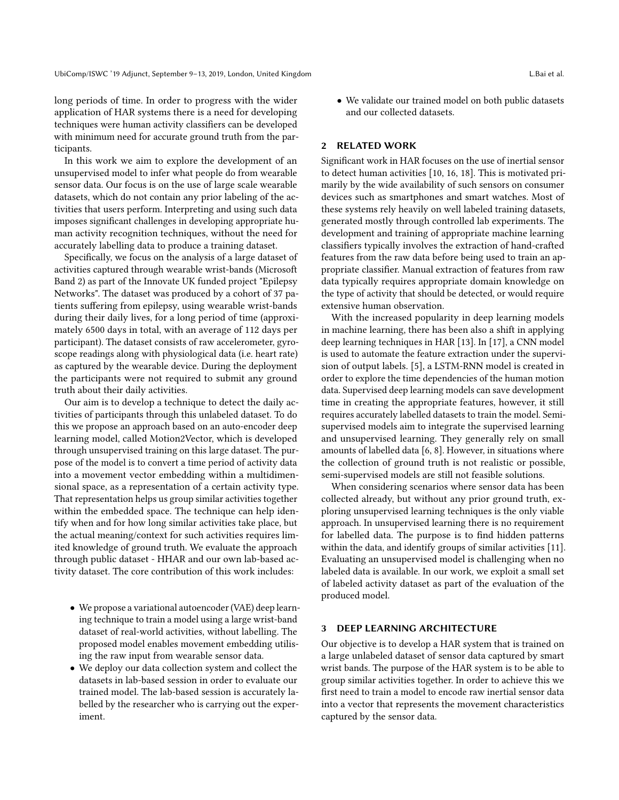UbiComp/ISWC '19 Adjunct, September 9-13, 2019, London, United Kingdom L.Bai et al.

long periods of time. In order to progress with the wider application of HAR systems there is a need for developing techniques were human activity classifiers can be developed with minimum need for accurate ground truth from the participants.

In this work we aim to explore the development of an unsupervised model to infer what people do from wearable sensor data. Our focus is on the use of large scale wearable datasets, which do not contain any prior labeling of the activities that users perform. Interpreting and using such data imposes significant challenges in developing appropriate human activity recognition techniques, without the need for accurately labelling data to produce a training dataset.

Specifically, we focus on the analysis of a large dataset of activities captured through wearable wrist-bands (Microsoft Band 2) as part of the Innovate UK funded project "Epilepsy Networks". The dataset was produced by a cohort of 37 patients suffering from epilepsy, using wearable wrist-bands during their daily lives, for a long period of time (approximately 6500 days in total, with an average of 112 days per participant). The dataset consists of raw accelerometer, gyroscope readings along with physiological data (i.e. heart rate) as captured by the wearable device. During the deployment the participants were not required to submit any ground truth about their daily activities.

Our aim is to develop a technique to detect the daily activities of participants through this unlabeled dataset. To do this we propose an approach based on an auto-encoder deep learning model, called Motion2Vector, which is developed through unsupervised training on this large dataset. The purpose of the model is to convert a time period of activity data into a movement vector embedding within a multidimensional space, as a representation of a certain activity type. That representation helps us group similar activities together within the embedded space. The technique can help identify when and for how long similar activities take place, but the actual meaning/context for such activities requires limited knowledge of ground truth. We evaluate the approach through public dataset - HHAR and our own lab-based activity dataset. The core contribution of this work includes:

- We propose a variational autoencoder (VAE) deep learning technique to train a model using a large wrist-band dataset of real-world activities, without labelling. The proposed model enables movement embedding utilising the raw input from wearable sensor data.
- We deploy our data collection system and collect the datasets in lab-based session in order to evaluate our trained model. The lab-based session is accurately labelled by the researcher who is carrying out the experiment.

• We validate our trained model on both public datasets and our collected datasets.

#### 2 RELATED WORK

Significant work in HAR focuses on the use of inertial sensor to detect human activities [10, 16, 18]. This is motivated primarily by the wide availability of such sensors on consumer devices such as smartphones and smart watches. Most of these systems rely heavily on well labeled training datasets, generated mostly through controlled lab experiments. The development and training of appropriate machine learning classifiers typically involves the extraction of hand-crafted features from the raw data before being used to train an appropriate classifier. Manual extraction of features from raw data typically requires appropriate domain knowledge on the type of activity that should be detected, or would require extensive human observation.

With the increased popularity in deep learning models in machine learning, there has been also a shift in applying deep learning techniques in HAR [13]. In [17], a CNN model is used to automate the feature extraction under the supervision of output labels. [5], a LSTM-RNN model is created in order to explore the time dependencies of the human motion data. Supervised deep learning models can save development time in creating the appropriate features, however, it still requires accurately labelled datasets to train the model. Semisupervised models aim to integrate the supervised learning and unsupervised learning. They generally rely on small amounts of labelled data [6, 8]. However, in situations where the collection of ground truth is not realistic or possible, semi-supervised models are still not feasible solutions.

When considering scenarios where sensor data has been collected already, but without any prior ground truth, exploring unsupervised learning techniques is the only viable approach. In unsupervised learning there is no requirement for labelled data. The purpose is to find hidden patterns within the data, and identify groups of similar activities [11]. Evaluating an unsupervised model is challenging when no labeled data is available. In our work, we exploit a small set of labeled activity dataset as part of the evaluation of the produced model.

#### 3 DEEP LEARNING ARCHITECTURE

Our objective is to develop a HAR system that is trained on a large unlabeled dataset of sensor data captured by smart wrist bands. The purpose of the HAR system is to be able to group similar activities together. In order to achieve this we first need to train a model to encode raw inertial sensor data into a vector that represents the movement characteristics captured by the sensor data.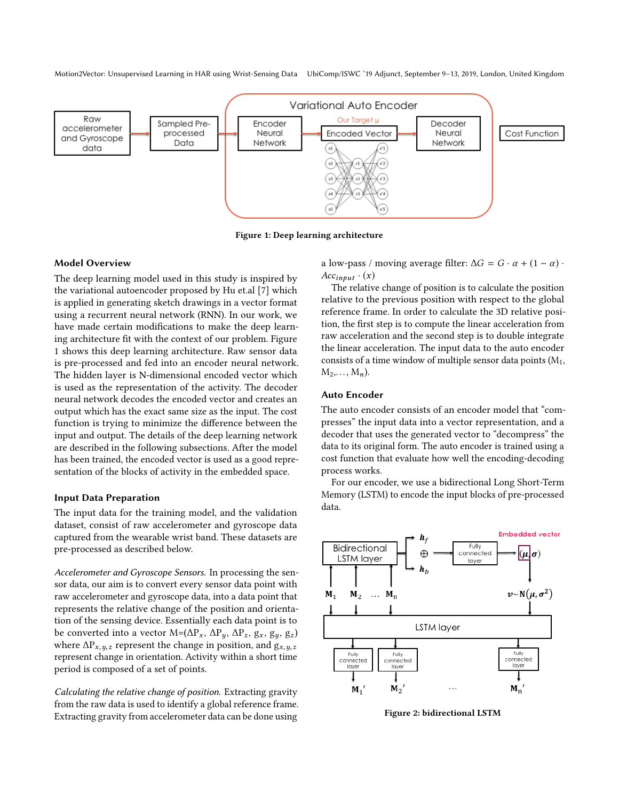Motion2Vector: Unsupervised Learning in HAR using Wrist-Sensing Data UbiComp/ISWC '19 Adjunct, September 9–13, 2019, London, United Kingdom



Figure 1: Deep learning architecture

#### Model Overview

The deep learning model used in this study is inspired by the variational autoencoder proposed by Hu et.al [7] which is applied in generating sketch drawings in a vector format using a recurrent neural network (RNN). In our work, we have made certain modifications to make the deep learning architecture fit with the context of our problem. Figure 1 shows this deep learning architecture. Raw sensor data is pre-processed and fed into an encoder neural network. The hidden layer is N-dimensional encoded vector which is used as the representation of the activity. The decoder neural network decodes the encoded vector and creates an output which has the exact same size as the input. The cost function is trying to minimize the difference between the input and output. The details of the deep learning network are described in the following subsections. After the model has been trained, the encoded vector is used as a good representation of the blocks of activity in the embedded space.

#### Input Data Preparation

The input data for the training model, and the validation dataset, consist of raw accelerometer and gyroscope data captured from the wearable wrist band. These datasets are pre-processed as described below.

Accelerometer and Gyroscope Sensors. In processing the sensor data, our aim is to convert every sensor data point with raw accelerometer and gyroscope data, into a data point that represents the relative change of the position and orientation of the sensing device. Essentially each data point is to be converted into a vector M=( $\Delta P_x$ ,  $\Delta P_y$ ,  $\Delta P_z$ ,  $g_x$ ,  $g_y$ ,  $g_z$ ) where  $\Delta P_{x,y,z}$  represent the change in position, and  $g_{x,y,z}$ represent change in orientation. Activity within a short time period is composed of a set of points.

Calculating the relative change of position. Extracting gravity from the raw data is used to identify a global reference frame. Extracting gravity from accelerometer data can be done using

a low-pass / moving average filter:  $\Delta G = G \cdot \alpha + (1 - \alpha) \cdot$  $Acc_{input} \cdot (x)$ 

The relative change of position is to calculate the position relative to the previous position with respect to the global reference frame. In order to calculate the 3D relative position, the first step is to compute the linear acceleration from raw acceleration and the second step is to double integrate the linear acceleration. The input data to the auto encoder consists of a time window of multiple sensor data points  $(M_1, M_2)$  $M_2,\ldots, M_n$ ).

#### Auto Encoder

The auto encoder consists of an encoder model that "compresses" the input data into a vector representation, and a decoder that uses the generated vector to "decompress" the data to its original form. The auto encoder is trained using a cost function that evaluate how well the encoding-decoding process works.

For our encoder, we use a bidirectional Long Short-Term Memory (LSTM) to encode the input blocks of pre-processed data.



Figure 2: bidirectional LSTM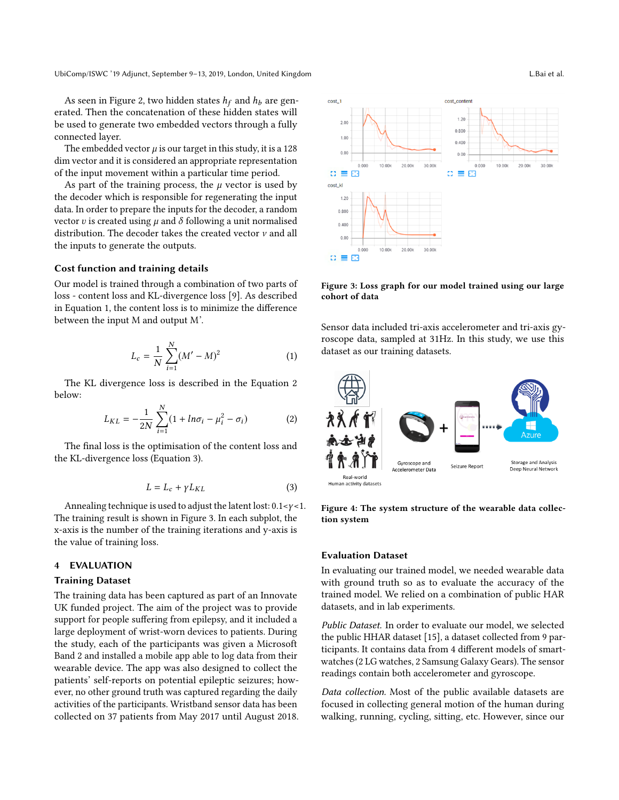As seen in Figure 2, two hidden states  $h_f$  and  $h_b$  are generated. Then the concatenation of these hidden states will be used to generate two embedded vectors through a fully connected layer.

The embedded vector  $\mu$  is our target in this study, it is a 128 dim vector and it is considered an appropriate representation of the input movement within a particular time period.

As part of the training process, the  $\mu$  vector is used by the decoder which is responsible for regenerating the input data. In order to prepare the inputs for the decoder, a random vector v is created using  $\mu$  and  $\delta$  following a unit normalised distribution. The decoder takes the created vector  $\nu$  and all the inputs to generate the outputs.

#### Cost function and training details

Our model is trained through a combination of two parts of loss - content loss and KL-divergence loss [9]. As described in Equation 1, the content loss is to minimize the difference between the input M and output M'.

$$
L_c = \frac{1}{N} \sum_{i=1}^{N} (M' - M)^2
$$
 (1)

The KL divergence loss is described in the Equation 2 below:

$$
L_{KL} = -\frac{1}{2N} \sum_{i=1}^{N} (1 + ln\sigma_i - \mu_i^2 - \sigma_i)
$$
 (2)

The final loss is the optimisation of the content loss and the KL-divergence loss (Equation 3).

$$
L = L_c + \gamma L_{KL} \tag{3}
$$

Annealing technique is used to adjust the latent lost:  $0.1 < y < 1$ . The training result is shown in Figure 3. In each subplot, the x-axis is the number of the training iterations and y-axis is the value of training loss.

#### 4 EVALUATION

#### Training Dataset

The training data has been captured as part of an Innovate UK funded project. The aim of the project was to provide support for people suffering from epilepsy, and it included a large deployment of wrist-worn devices to patients. During the study, each of the participants was given a Microsoft Band 2 and installed a mobile app able to log data from their wearable device. The app was also designed to collect the patients' self-reports on potential epileptic seizures; however, no other ground truth was captured regarding the daily activities of the participants. Wristband sensor data has been collected on 37 patients from May 2017 until August 2018.



Figure 3: Loss graph for our model trained using our large cohort of data

Sensor data included tri-axis accelerometer and tri-axis gyroscope data, sampled at 31Hz. In this study, we use this dataset as our training datasets.



Figure 4: The system structure of the wearable data collection system

#### Evaluation Dataset

In evaluating our trained model, we needed wearable data with ground truth so as to evaluate the accuracy of the trained model. We relied on a combination of public HAR datasets, and in lab experiments.

Public Dataset. In order to evaluate our model, we selected the public HHAR dataset [15], a dataset collected from 9 participants. It contains data from 4 different models of smartwatches (2 LG watches, 2 Samsung Galaxy Gears). The sensor readings contain both accelerometer and gyroscope.

Data collection. Most of the public available datasets are focused in collecting general motion of the human during walking, running, cycling, sitting, etc. However, since our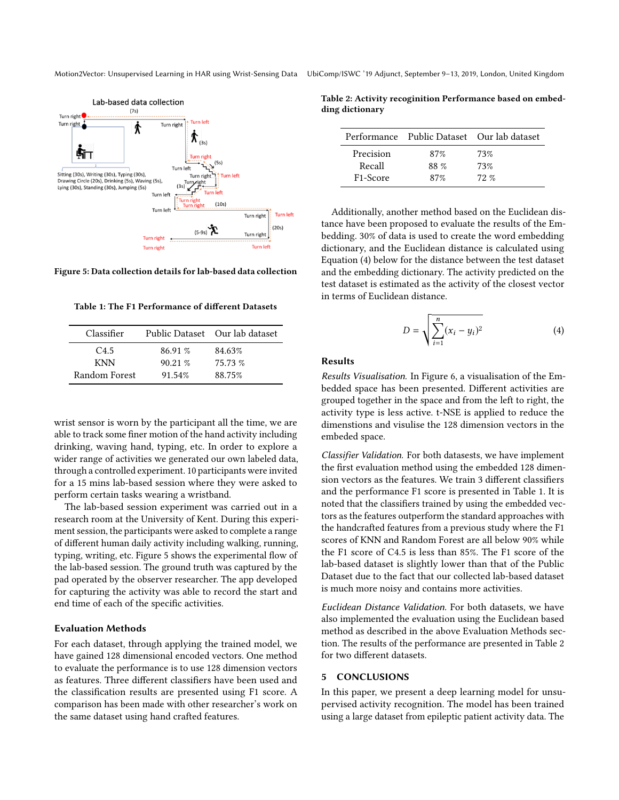

Figure 5: Data collection details for lab-based data collection

Table 1: The F1 Performance of different Datasets

| Classifier    |         | Public Dataset Our lab dataset |
|---------------|---------|--------------------------------|
| C4.5          | 86.91 % | 84.63%                         |
| <b>KNN</b>    | 90.21%  | 75.73 %                        |
| Random Forest | 91.54%  | 88.75%                         |

wrist sensor is worn by the participant all the time, we are able to track some finer motion of the hand activity including drinking, waving hand, typing, etc. In order to explore a wider range of activities we generated our own labeled data, through a controlled experiment. 10 participants were invited for a 15 mins lab-based session where they were asked to perform certain tasks wearing a wristband.

The lab-based session experiment was carried out in a research room at the University of Kent. During this experiment session, the participants were asked to complete a range of different human daily activity including walking, running, typing, writing, etc. Figure 5 shows the experimental flow of the lab-based session. The ground truth was captured by the pad operated by the observer researcher. The app developed for capturing the activity was able to record the start and end time of each of the specific activities.

#### Evaluation Methods

For each dataset, through applying the trained model, we have gained 128 dimensional encoded vectors. One method to evaluate the performance is to use 128 dimension vectors as features. Three different classifiers have been used and the classification results are presented using F1 score. A comparison has been made with other researcher's work on the same dataset using hand crafted features.

Motion2Vector: Unsupervised Learning in HAR using Wrist-Sensing Data UbiComp/ISWC '19 Adjunct, September 9–13, 2019, London, United Kingdom

Table 2: Activity recoginition Performance based on embedding dictionary

|                       | Performance Public Dataset Our lab dataset |          |
|-----------------------|--------------------------------------------|----------|
| Precision             | 87%                                        | 73%      |
| Recall                | 88 %                                       | 73%      |
| F <sub>1</sub> -Score | 87%                                        | $72. \%$ |

Additionally, another method based on the Euclidean distance have been proposed to evaluate the results of the Embedding. 30% of data is used to create the word embedding dictionary, and the Euclidean distance is calculated using Equation (4) below for the distance between the test dataset and the embedding dictionary. The activity predicted on the test dataset is estimated as the activity of the closest vector in terms of Euclidean distance.

$$
D = \sqrt{\sum_{i=1}^{n} (x_i - y_i)^2}
$$
 (4)

#### Results

Results Visualisation. In Figure 6, a visualisation of the Embedded space has been presented. Different activities are grouped together in the space and from the left to right, the activity type is less active. t-NSE is applied to reduce the dimenstions and visulise the 128 dimension vectors in the embeded space.

Classifier Validation. For both datasests, we have implement the first evaluation method using the embedded 128 dimension vectors as the features. We train 3 different classifiers and the performance F1 score is presented in Table 1. It is noted that the classifiers trained by using the embedded vectors as the features outperform the standard approaches with the handcrafted features from a previous study where the F1 scores of KNN and Random Forest are all below 90% while the F1 score of C4.5 is less than 85%. The F1 score of the lab-based dataset is slightly lower than that of the Public Dataset due to the fact that our collected lab-based dataset is much more noisy and contains more activities.

Euclidean Distance Validation. For both datasets, we have also implemented the evaluation using the Euclidean based method as described in the above Evaluation Methods section. The results of the performance are presented in Table 2 for two different datasets.

#### 5 CONCLUSIONS

In this paper, we present a deep learning model for unsupervised activity recognition. The model has been trained using a large dataset from epileptic patient activity data. The